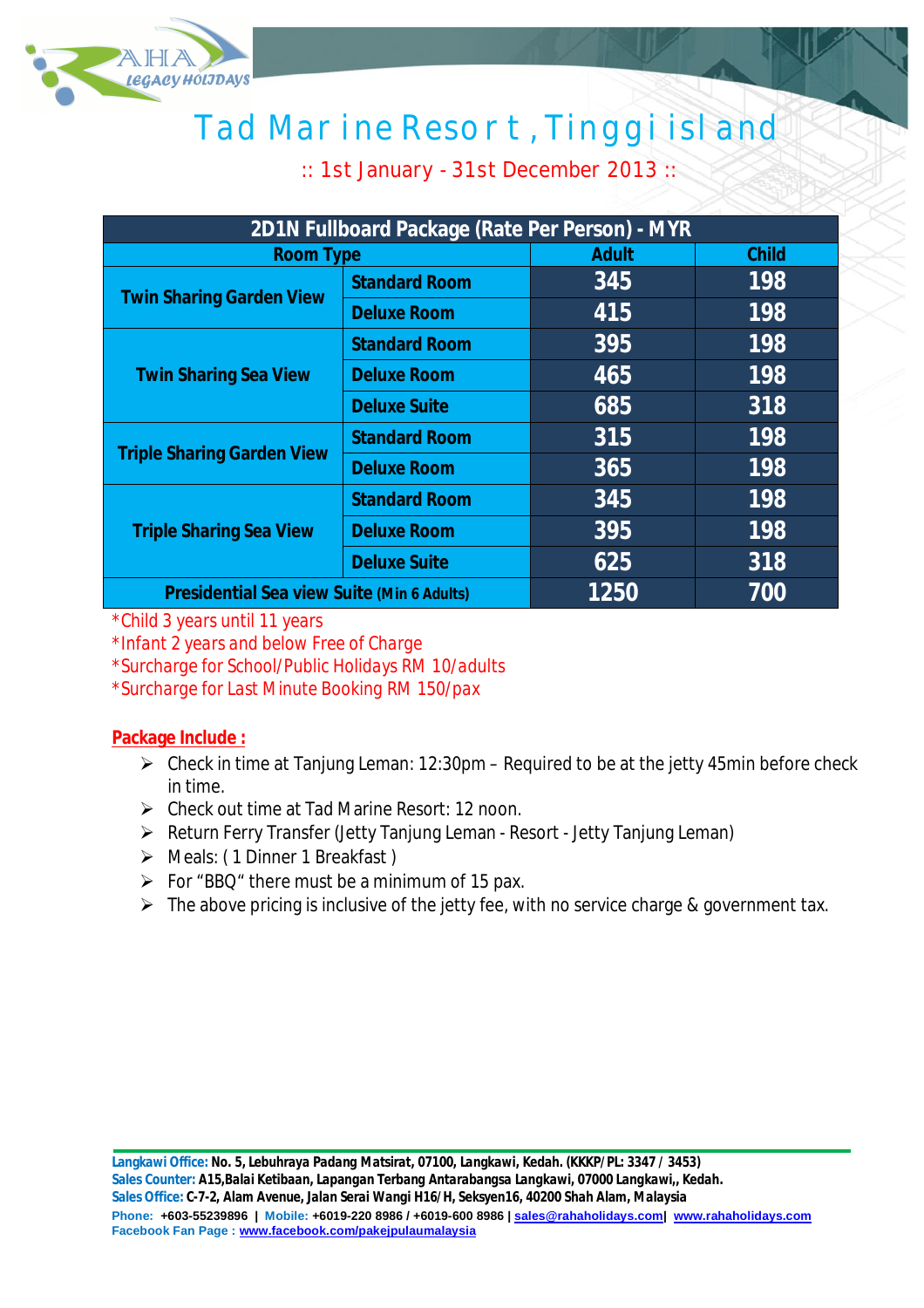

# Tad Marine Resort, Tinggi island

:: 1st January - 31st December 2013 ::

| 2D1N Fullboard Package (Rate Per Person) - MYR    |                      |              |              |  |
|---------------------------------------------------|----------------------|--------------|--------------|--|
| <b>Room Type</b>                                  |                      | <b>Adult</b> | <b>Child</b> |  |
| <b>Twin Sharing Garden View</b>                   | <b>Standard Room</b> | 345          | 198          |  |
|                                                   | <b>Deluxe Room</b>   | 415          | 198          |  |
| <b>Twin Sharing Sea View</b>                      | <b>Standard Room</b> | 395          | 198          |  |
|                                                   | <b>Deluxe Room</b>   | 465          | 198          |  |
|                                                   | <b>Deluxe Suite</b>  | 685          | 318          |  |
| <b>Triple Sharing Garden View</b>                 | <b>Standard Room</b> | 315          | 198          |  |
|                                                   | <b>Deluxe Room</b>   | 365          | 198          |  |
| <b>Triple Sharing Sea View</b>                    | <b>Standard Room</b> | 345          | 198          |  |
|                                                   | <b>Deluxe Room</b>   | 395          | 198          |  |
|                                                   | <b>Deluxe Suite</b>  | 625          | 318          |  |
| <b>Presidential Sea view Suite (Min 6 Adults)</b> |                      | 1250         | 700          |  |

*\*Child 3 years until 11 years*

*\*Infant 2 years and below Free of Charge*

*\*Surcharge for School/Public Holidays RM 10/adults*

*\*Surcharge for Last Minute Booking RM 150/pax*

### **Package Include :**

- $\triangleright$  Check in time at Tanjung Leman: 12:30pm Required to be at the jetty 45min before check in time.
- Check out time at Tad Marine Resort: 12 noon.
- Return Ferry Transfer (Jetty Tanjung Leman Resort Jetty Tanjung Leman)
- Meals: ( 1 Dinner 1 Breakfast )
- $\triangleright$  For "BBQ" there must be a minimum of 15 pax.
- $\triangleright$  The above pricing is inclusive of the jetty fee, with no service charge & government tax.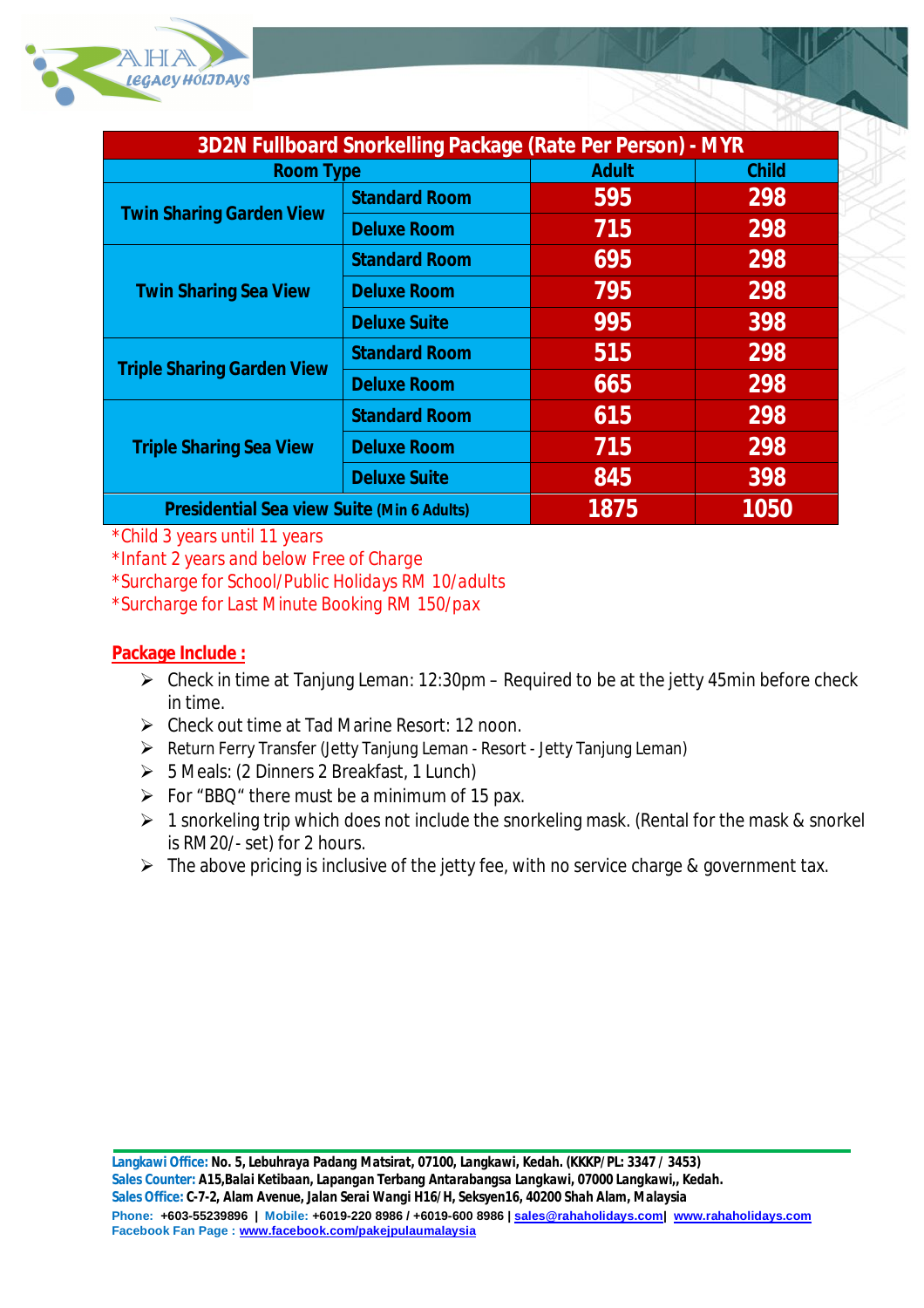

| <b>3D2N Fullboard Snorkelling Package (Rate Per Person) - MYR</b> |                      |              |              |  |
|-------------------------------------------------------------------|----------------------|--------------|--------------|--|
| <b>Room Type</b>                                                  |                      | <b>Adult</b> | <b>Child</b> |  |
| <b>Twin Sharing Garden View</b>                                   | <b>Standard Room</b> | 595          | 298          |  |
|                                                                   | <b>Deluxe Room</b>   | 715          | 298          |  |
| <b>Twin Sharing Sea View</b>                                      | <b>Standard Room</b> | 695          | 298          |  |
|                                                                   | <b>Deluxe Room</b>   | 795          | 298          |  |
|                                                                   | <b>Deluxe Suite</b>  | 995          | 398          |  |
| <b>Triple Sharing Garden View</b>                                 | <b>Standard Room</b> | 515          | 298          |  |
|                                                                   | <b>Deluxe Room</b>   | 665          | 298          |  |
| <b>Triple Sharing Sea View</b>                                    | <b>Standard Room</b> | 615          | 298          |  |
|                                                                   | <b>Deluxe Room</b>   | 715          | 298          |  |
|                                                                   | <b>Deluxe Suite</b>  | 845          | 398          |  |
| <b>Presidential Sea view Suite (Min 6 Adults)</b>                 |                      | 1875         | 1050         |  |

*\*Child 3 years until 11 years*

*\*Infant 2 years and below Free of Charge*

*\*Surcharge for School/Public Holidays RM 10/adults*

*\*Surcharge for Last Minute Booking RM 150/pax*

### **Package Include :**

- $\triangleright$  Check in time at Tanjung Leman: 12:30pm Required to be at the jetty 45min before check in time.
- Check out time at Tad Marine Resort: 12 noon.
- Return Ferry Transfer (Jetty Tanjung Leman Resort Jetty Tanjung Leman)
- $\triangleright$  5 Meals: (2 Dinners 2 Breakfast, 1 Lunch)
- $\triangleright$  For "BBQ" there must be a minimum of 15 pax.
- $\geq 1$  snorkeling trip which does not include the snorkeling mask. (Rental for the mask & snorkel is RM20/- set) for 2 hours.
- $\triangleright$  The above pricing is inclusive of the jetty fee, with no service charge & government tax.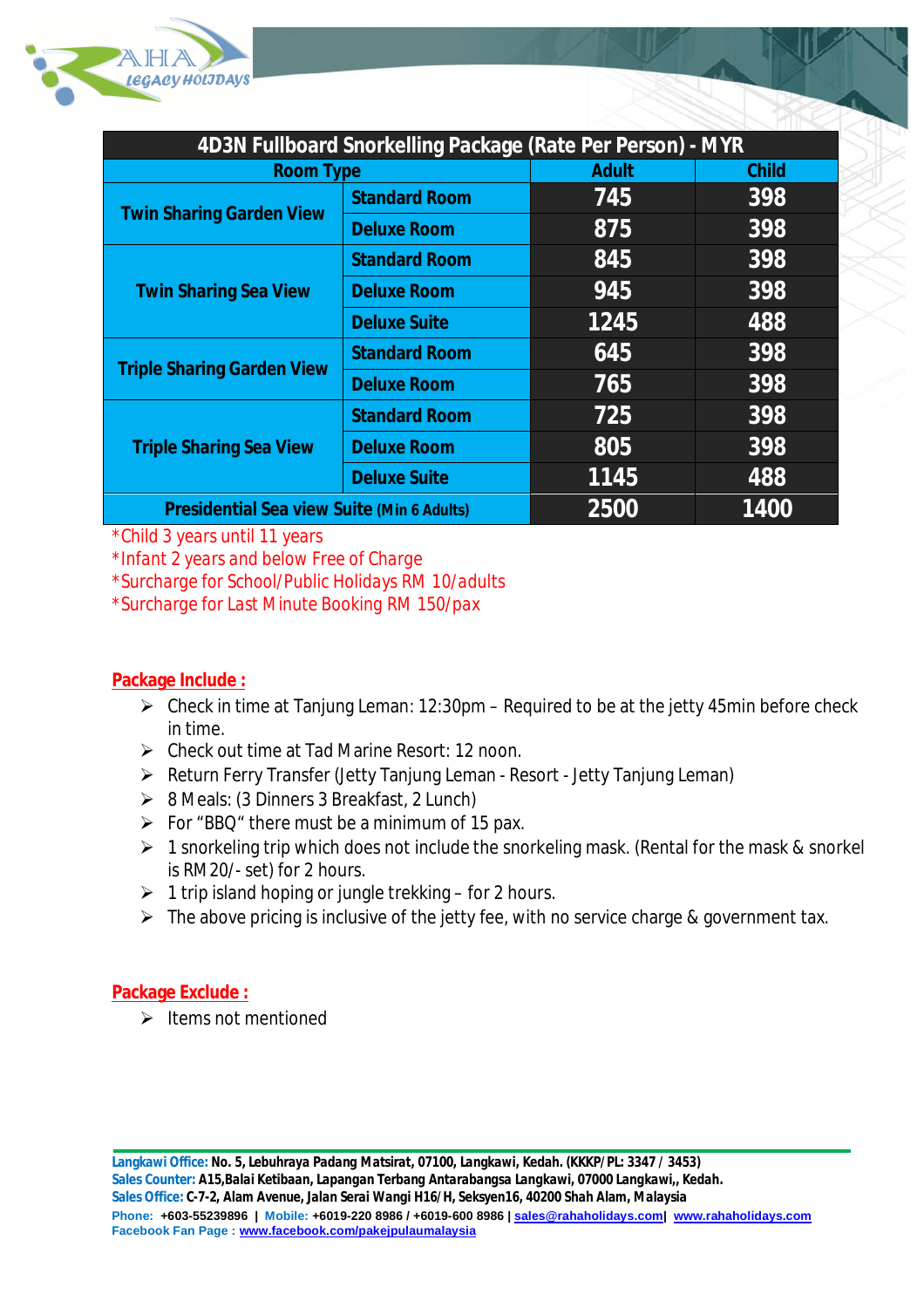

| 4D3N Fullboard Snorkelling Package (Rate Per Person) - MYR |                      |              |              |  |
|------------------------------------------------------------|----------------------|--------------|--------------|--|
| <b>Room Type</b>                                           |                      | <b>Adult</b> | <b>Child</b> |  |
| <b>Twin Sharing Garden View</b>                            | <b>Standard Room</b> | 745          | 398          |  |
|                                                            | <b>Deluxe Room</b>   | 875          | 398          |  |
| <b>Twin Sharing Sea View</b>                               | <b>Standard Room</b> | 845          | 398          |  |
|                                                            | <b>Deluxe Room</b>   | 945          | 398          |  |
|                                                            | <b>Deluxe Suite</b>  | 1245         | 488          |  |
| <b>Triple Sharing Garden View</b>                          | <b>Standard Room</b> | 645          | 398          |  |
|                                                            | <b>Deluxe Room</b>   | 765          | 398          |  |
| <b>Triple Sharing Sea View</b>                             | <b>Standard Room</b> | 725          | 398          |  |
|                                                            | <b>Deluxe Room</b>   | 805          | 398          |  |
|                                                            | <b>Deluxe Suite</b>  | 1145         | 488          |  |
| <b>Presidential Sea view Suite (Min 6 Adults)</b>          |                      | 2500         | 1400         |  |

*\*Child 3 years until 11 years*

*\*Infant 2 years and below Free of Charge*

*\*Surcharge for School/Public Holidays RM 10/adults*

*\*Surcharge for Last Minute Booking RM 150/pax*

### **Package Include :**

- $\triangleright$  Check in time at Tanjung Leman: 12:30pm Required to be at the jetty 45min before check in time.
- Check out time at Tad Marine Resort: 12 noon.
- Return Ferry Transfer (Jetty Tanjung Leman Resort Jetty Tanjung Leman)
- $\triangleright$  8 Meals: (3 Dinners 3 Breakfast, 2 Lunch)
- $\triangleright$  For "BBQ" there must be a minimum of 15 pax.
- $\geq 1$  snorkeling trip which does not include the snorkeling mask. (Rental for the mask & snorkel is RM20/- set) for 2 hours.
- $\geq 1$  trip island hoping or jungle trekking for 2 hours.
- $\triangleright$  The above pricing is inclusive of the jetty fee, with no service charge & government tax.

### **Package Exclude :**

 $\triangleright$  Items not mentioned